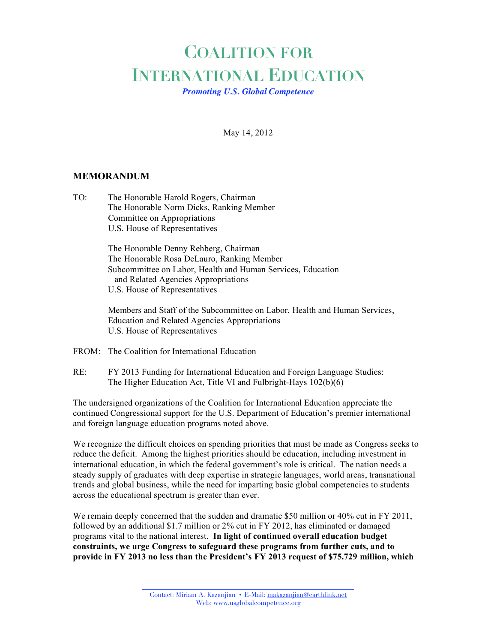## **COALITION FOR INTERNATIONAL EDUCATION**

*Promoting U.S. Global Competence*

May 14, 2012

## **MEMORANDUM**

TO: The Honorable Harold Rogers, Chairman The Honorable Norm Dicks, Ranking Member Committee on Appropriations U.S. House of Representatives

> The Honorable Denny Rehberg, Chairman The Honorable Rosa DeLauro, Ranking Member Subcommittee on Labor, Health and Human Services, Education and Related Agencies Appropriations U.S. House of Representatives

Members and Staff of the Subcommittee on Labor, Health and Human Services, Education and Related Agencies Appropriations U.S. House of Representatives

- FROM: The Coalition for International Education
- RE: FY 2013 Funding for International Education and Foreign Language Studies: The Higher Education Act, Title VI and Fulbright-Hays 102(b)(6)

The undersigned organizations of the Coalition for International Education appreciate the continued Congressional support for the U.S. Department of Education's premier international and foreign language education programs noted above.

We recognize the difficult choices on spending priorities that must be made as Congress seeks to reduce the deficit. Among the highest priorities should be education, including investment in international education, in which the federal government's role is critical. The nation needs a steady supply of graduates with deep expertise in strategic languages, world areas, transnational trends and global business, while the need for imparting basic global competencies to students across the educational spectrum is greater than ever.

We remain deeply concerned that the sudden and dramatic \$50 million or 40% cut in FY 2011, followed by an additional \$1.7 million or 2% cut in FY 2012, has eliminated or damaged programs vital to the national interest. **In light of continued overall education budget constraints, we urge Congress to safeguard these programs from further cuts, and to provide in FY 2013 no less than the President's FY 2013 request of \$75.729 million, which**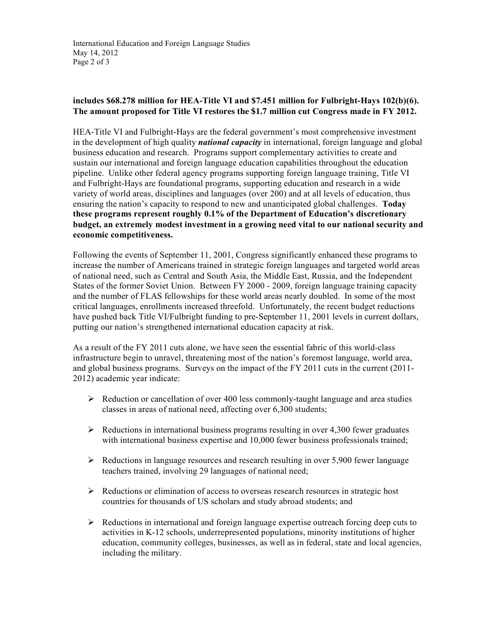## **includes \$68.278 million for HEA-Title VI and \$7.451 million for Fulbright-Hays 102(b)(6). The amount proposed for Title VI restores the \$1.7 million cut Congress made in FY 2012.**

HEA-Title VI and Fulbright-Hays are the federal government's most comprehensive investment in the development of high quality *national capacity* in international, foreign language and global business education and research. Programs support complementary activities to create and sustain our international and foreign language education capabilities throughout the education pipeline. Unlike other federal agency programs supporting foreign language training, Title VI and Fulbright-Hays are foundational programs, supporting education and research in a wide variety of world areas, disciplines and languages (over 200) and at all levels of education, thus ensuring the nation's capacity to respond to new and unanticipated global challenges. **Today these programs represent roughly 0.1% of the Department of Education's discretionary budget, an extremely modest investment in a growing need vital to our national security and economic competitiveness.**

Following the events of September 11, 2001, Congress significantly enhanced these programs to increase the number of Americans trained in strategic foreign languages and targeted world areas of national need, such as Central and South Asia, the Middle East, Russia, and the Independent States of the former Soviet Union. Between FY 2000 - 2009, foreign language training capacity and the number of FLAS fellowships for these world areas nearly doubled. In some of the most critical languages, enrollments increased threefold. Unfortunately, the recent budget reductions have pushed back Title VI/Fulbright funding to pre-September 11, 2001 levels in current dollars, putting our nation's strengthened international education capacity at risk.

As a result of the FY 2011 cuts alone, we have seen the essential fabric of this world-class infrastructure begin to unravel, threatening most of the nation's foremost language, world area, and global business programs. Surveys on the impact of the FY 2011 cuts in the current (2011- 2012) academic year indicate:

- $\triangleright$  Reduction or cancellation of over 400 less commonly-taught language and area studies classes in areas of national need, affecting over 6,300 students;
- $\triangleright$  Reductions in international business programs resulting in over 4,300 fewer graduates with international business expertise and 10,000 fewer business professionals trained;
- $\triangleright$  Reductions in language resources and research resulting in over 5,900 fewer language teachers trained, involving 29 languages of national need;
- Reductions or elimination of access to overseas research resources in strategic host countries for thousands of US scholars and study abroad students; and
- Reductions in international and foreign language expertise outreach forcing deep cuts to activities in K-12 schools, underrepresented populations, minority institutions of higher education, community colleges, businesses, as well as in federal, state and local agencies, including the military.